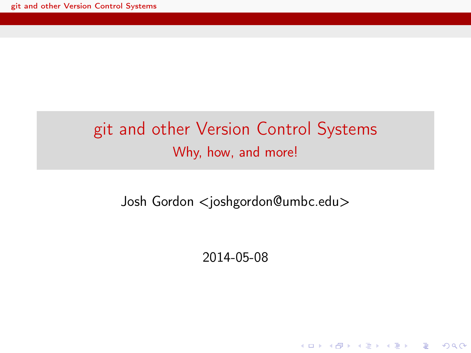#### git and other Version Control Systems Why, how, and more!

<span id="page-0-0"></span>Josh Gordon <joshgordon@umbc.edu>

2014-05-08

**KORK STRATER STRAKES**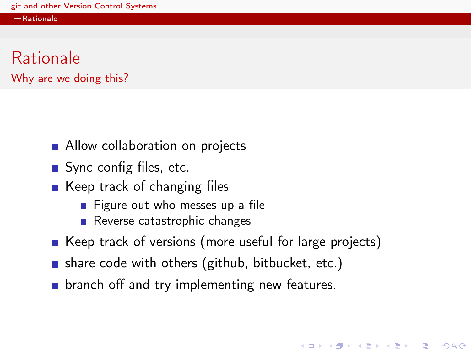#### [Rationale](#page-1-0)



- **Allow collaboration on projects**
- Sync config files, etc.
- $\blacksquare$  Keep track of changing files
	- $\blacksquare$  Figure out who messes up a file
	- Reverse catastrophic changes
- Keep track of versions (more useful for large projects)

KEL KARIK KEL KEL KARIK

- share code with others (github, bitbucket, etc.)
- <span id="page-1-0"></span>**E** branch off and try implementing new features.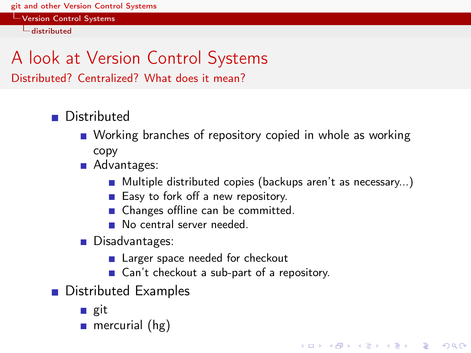[Version Control Systems](#page-2-0)

[distributed](#page-2-0)

# A look at Version Control Systems

Distributed? Centralized? What does it mean?

- **Distributed** 
	- Working branches of repository copied in whole as working copy
	- Advantages:
		- Multiple distributed copies (backups aren't as necessary...)

**KOD KARD KED KED E VOOR** 

- Easy to fork off a new repository.
- Changes offline can be committed.
- No central server needed.
- Disadvantages:
	- **Larger space needed for checkout**
	- Can't checkout a sub-part of a repository.
- <span id="page-2-0"></span>**Distributed Examples** 
	- git
	- **mercurial** ( $hg$ )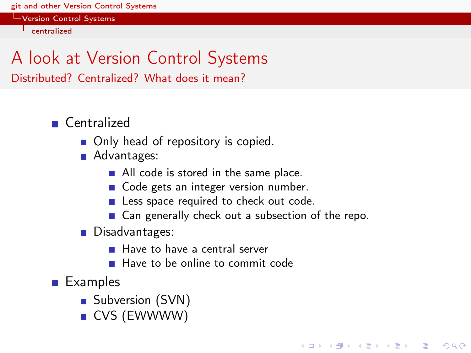[Version Control Systems](#page-3-0)

 $L$ [centralized](#page-3-0)

#### A look at Version Control Systems Distributed? Centralized? What does it mean?

■ Centralized

- Only head of repository is copied.
- **Advantages:** 
	- All code is stored in the same place.
	- Code gets an integer version number.
	- **Less space required to check out code.**
	- Can generally check out a subsection of the repo.

KEL KARIK KEL KEL KARIK KELIK

- Disadvantages:
	- Have to have a central server
	- Have to be online to commit code

<span id="page-3-0"></span>**Examples** 

- Subversion (SVN)
- CVS (EWWWW)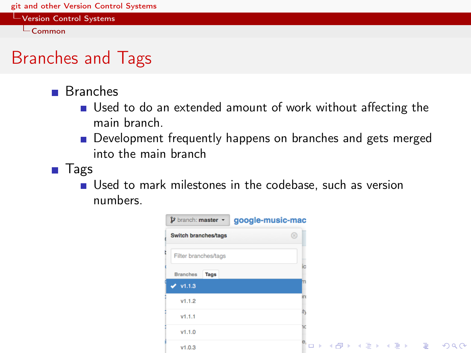[Version Control Systems](#page-4-0)

 $\mathsf{L}_{\mathsf{Common}}$  $\mathsf{L}_{\mathsf{Common}}$  $\mathsf{L}_{\mathsf{Common}}$ 

# Branches and Tags

- Branches
	- Used to do an extended amount of work without affecting the main branch.
	- **Development frequently happens on branches and gets merged** into the main branch
- <span id="page-4-0"></span>**Tags** 
	- Used to mark milestones in the codebase, such as version numbers.

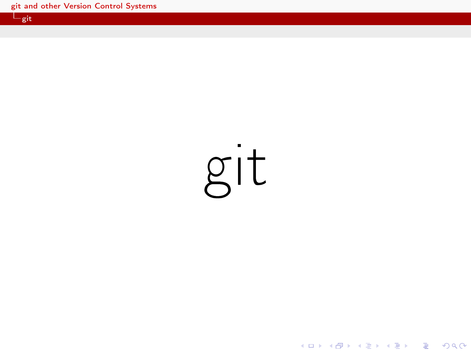<span id="page-5-0"></span>git

K ロ > K @ > K 할 > K 할 > 1 할 : X 9 Q @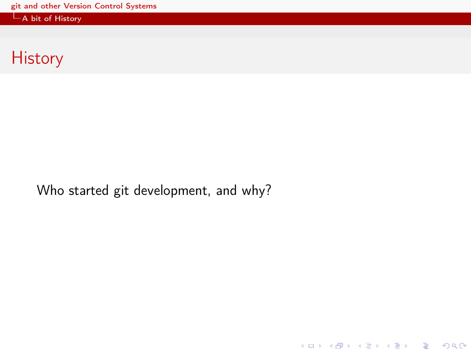$\mathsf{-A}$  bit of History

### **History**

<span id="page-6-0"></span>Who started git development, and why?

K □ ▶ K @ ▶ K 할 X K 할 X | 할 X 1 9 Q Q \*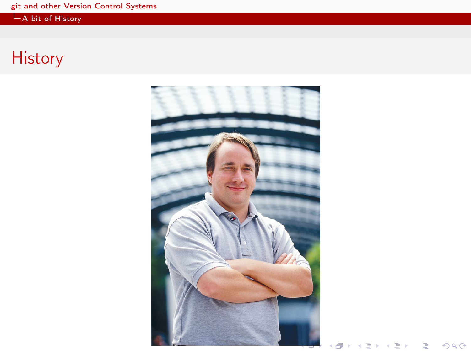$-A$  bit of History

# <span id="page-7-0"></span>**History**



重

 $\blacksquare$ 

÷,

ä.  $\sim$   $\left\langle \cdot \right\rangle \equiv +$ 

 $290$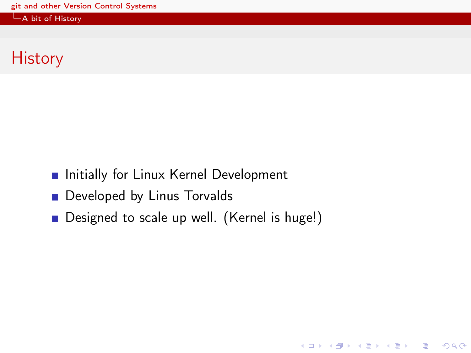[A bit of History](#page-8-0)

# **History**

- **Initially for Linux Kernel Development**
- Developed by Linus Torvalds
- <span id="page-8-0"></span>Designed to scale up well. (Kernel is huge!)

**KORK STRATER STRAKES**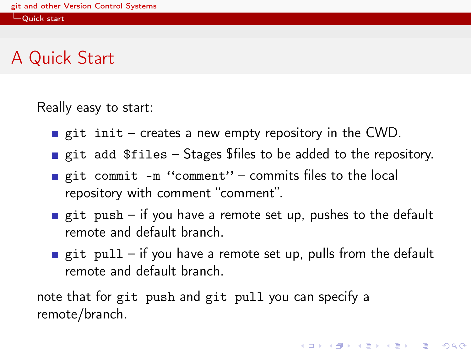**L**[Quick start](#page-9-0)

#### A Quick Start

Really easy to start:

- git init creates a new empty repository in the CWD.
- git add  $$files Stages $files to be added to the repository.$
- git commit -m "comment" commits files to the local repository with comment "comment".
- git push if you have a remote set up, pushes to the default remote and default branch.
- git pull if you have a remote set up, pulls from the default remote and default branch.

<span id="page-9-0"></span>note that for git push and git pull you can specify a remote/branch.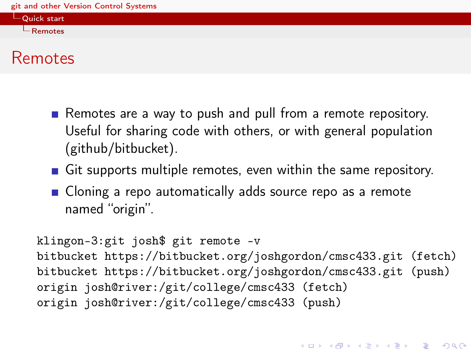[Quick start](#page-10-0) [Remotes](#page-10-0)

#### Remotes

- Remotes are a way to push and pull from a remote repository. Useful for sharing code with others, or with general population (github/bitbucket).
- Git supports multiple remotes, even within the same repository.
- **Cloning a repo automatically adds source repo as a remote** named "origin".

```
klingon-3:git josh$ git remote -v
bitbucket https://bitbucket.org/joshgordon/cmsc433.git (fetch)
bitbucket https://bitbucket.org/joshgordon/cmsc433.git (push)
origin josh@river:/git/college/cmsc433 (fetch)
origin josh@river:/git/college/cmsc433 (push)
```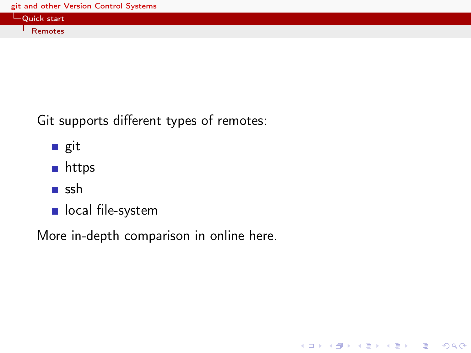| Quick start      |  |
|------------------|--|
| $\vdash$ Remotes |  |

K ロ ▶ K 레 ▶ K 레 ▶ K 레 ≯ K 게 회 게 이 및 사 이 의 O

Git supports different types of remotes:

- git
- **n** https
- **■** ssh
- ocal file-system

<span id="page-11-0"></span>More in-depth comparison [in online here.](http://git-scm.com/book/en/Git-on-the-Server-The-Protocols)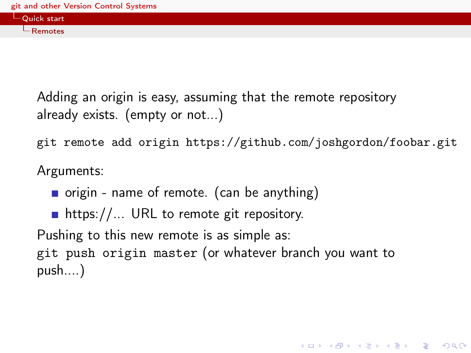

Adding an origin is easy, assuming that the remote repository already exists. (empty or not...)

git remote add origin https://github.com/joshgordon/foobar.git

**KORK EX KEY KEY YOUR** 

Arguments:

- $\blacksquare$  origin name of remote. (can be anything)
- https://... URL to remote git repository.

Pushing to this new remote is as simple as:

<span id="page-12-0"></span>git push origin master (or whatever branch you want to push....)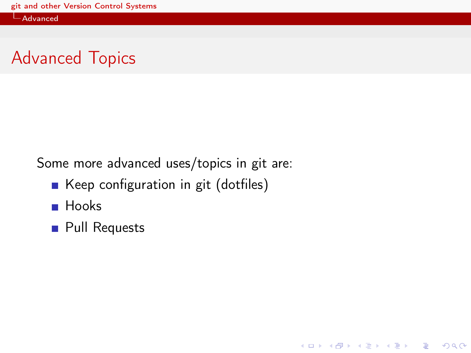[Advanced](#page-13-0)

### Advanced Topics

Some more advanced uses/topics in git are:

Keep configuration in git (dotfiles)

**KORK STRATER STRAKES** 

- **Hooks**
- <span id="page-13-0"></span>**Pull Requests**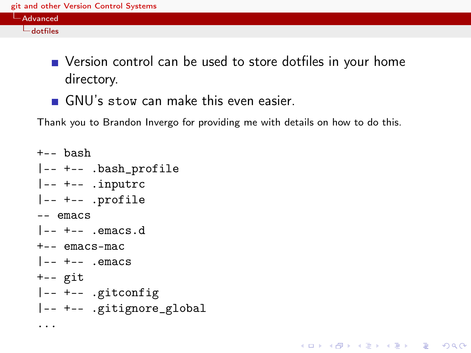| Advanced       |  |
|----------------|--|
| $-$<br>anttue. |  |

■ Version control can be used to store dotfiles in your home directory.

**KORKA REPARATION ADD** 

GNU's stow can make this even easier.

Thank you to [Brandon Invergo](http://brandon.invergo.net/news/2012-05-26-using-gnu-stow-to-manage-your-dotfiles.html) for providing me with details on how to do this.

```
+-- bash
|-- +-- .bash_profile
|-- +-- .inputrc
|-- +-- .profile
-- emacs
|--+-- .emacs.d
+-- emacs-mac
|--+-- . emacs
+-- git
|-- +-- .gitconfig
|-- +-- .gitignore_global
...
```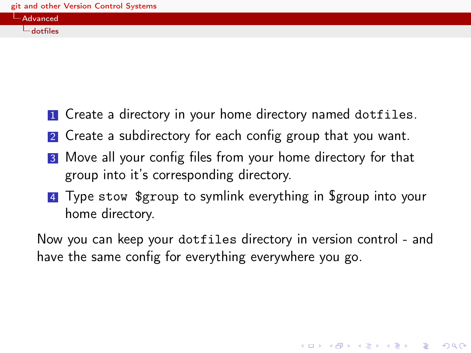| __ |                                           |  |
|----|-------------------------------------------|--|
|    | <b>State State State State</b><br>vancedy |  |
|    | $\sim$<br>dotfiles                        |  |

- **1** Create a directory in your home directory named dotfiles.
- 2 Create a subdirectory for each config group that you want.
- **3** Move all your config files from your home directory for that group into it's corresponding directory.
- 4 Type stow \$group to symlink everything in \$group into your home directory.

<span id="page-15-0"></span>Now you can keep your dotfiles directory in version control - and have the same config for everything everywhere you go.

**KORKA REPARATION ADD**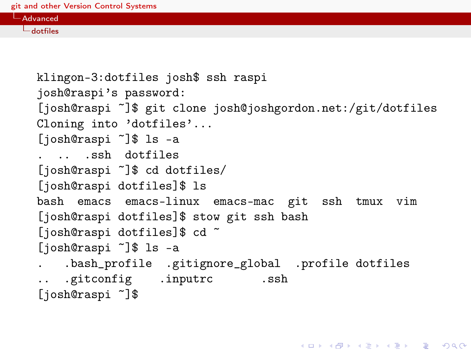| Advanced ,               |  |  |
|--------------------------|--|--|
| <b>START</b><br>dotfiles |  |  |

```
klingon-3:dotfiles josh$ ssh raspi
josh@raspi's password:
[josh@raspi ~]$ git clone josh@joshgordon.net:/git/dotfiles
Cloning into 'dotfiles'...
[josh@raspi ~]$ ls -a
. .. .ssh dotfiles
[josh@raspi ~]$ cd dotfiles/
[josh@raspi dotfiles]$ ls
bash emacs emacs-linux emacs-mac git ssh tmux vim
[josh@raspi dotfiles]$ stow git ssh bash
[josh@raspi dotfiles]$ cd ~
[josh@raspi ~]$ ls -a
. .bash_profile .gitignore_global .profile dotfiles
.. .gitconfig .inputrc .ssh
[josh@raspi ~]$
```
**KORK STRATER STRAKES**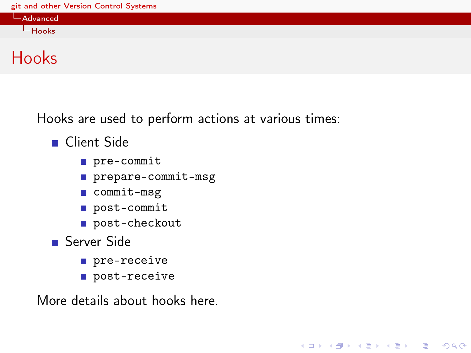[Advanced](#page-17-0)  $L$ [Hooks](#page-17-0)

KEL KARIK KEL KEL KARIK KELIK

Hooks

Hooks are used to perform actions at various times:

- Client Side
	- pre-commit
	- prepare-commit-msg
	- commit-msg
	- post-commit
	- post-checkout
- Server Side
	- **pre-receive**
	- post-receive

<span id="page-17-0"></span>More details about hooks [here.](http://git-scm.com/book/en/Customizing-Git-Git-Hooks)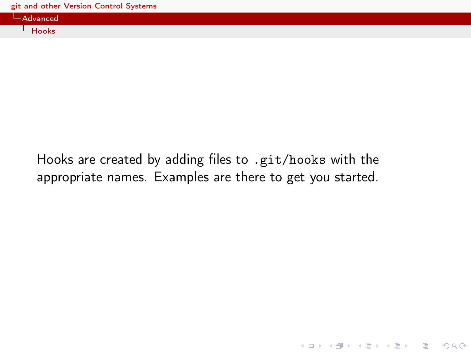| Advanced , |  |  |  |
|------------|--|--|--|
| Hooks      |  |  |  |

<span id="page-18-0"></span>Hooks are created by adding files to .git/hooks with the appropriate names. Examples are there to get you started.

K ロ ▶ K 레 ▶ K 레 ▶ K 레 ≯ K 게 회 게 이 및 사 이 의 O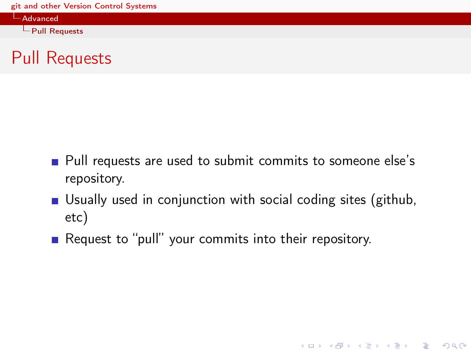[Advanced](#page-19-0)

 $L$ [Pull Requests](#page-19-0)

#### Pull Requests

- **Pull requests are used to submit commits to someone else's** repository.
- Usually used in conjunction with social coding sites (github, etc)

<span id="page-19-0"></span>Request to "pull" your commits into their repository.